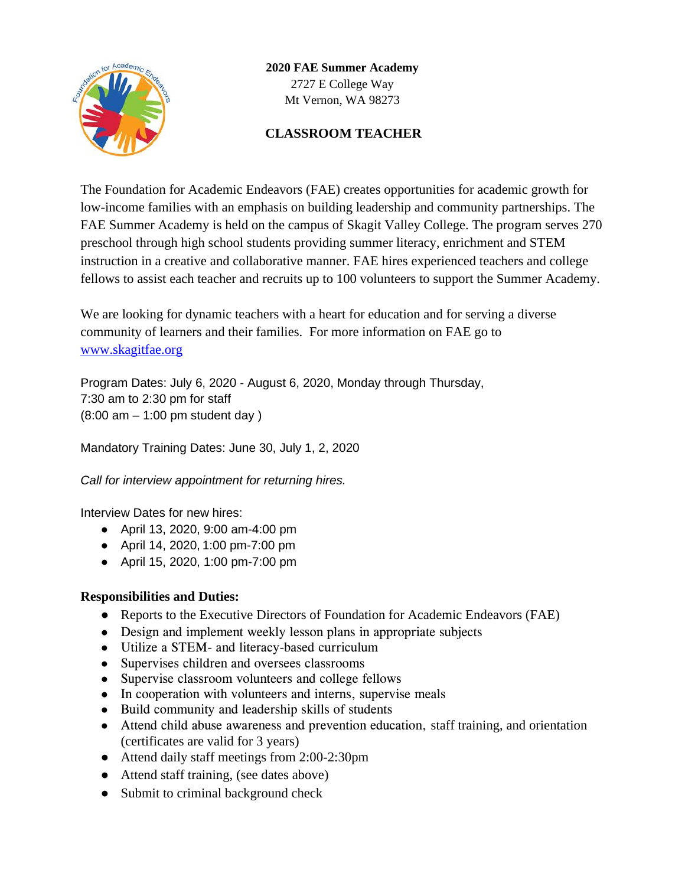

**2020 FAE Summer Academy** 2727 E College Way Mt Vernon, WA 98273

# **CLASSROOM TEACHER**

The Foundation for Academic Endeavors (FAE) creates opportunities for academic growth for low-income families with an emphasis on building leadership and community partnerships. The FAE Summer Academy is held on the campus of Skagit Valley College. The program serves 270 preschool through high school students providing summer literacy, enrichment and STEM instruction in a creative and collaborative manner. FAE hires experienced teachers and college fellows to assist each teacher and recruits up to 100 volunteers to support the Summer Academy.

We are looking for dynamic teachers with a heart for education and for serving a diverse community of learners and their families. For more information on FAE go to [www.skagitfae.org](http://www.skagitfae.org/)

Program Dates: July 6, 2020 - August 6, 2020, Monday through Thursday, 7:30 am to 2:30 pm for staff (8:00 am – 1:00 pm student day )

Mandatory Training Dates: June 30, July 1, 2, 2020

*Call for interview appointment for returning hires.*

Interview Dates for new hires:

- April 13, 2020, 9:00 am-4:00 pm
- April 14, 2020, 1:00 pm-7:00 pm
- April 15, 2020, 1:00 pm-7:00 pm

#### **Responsibilities and Duties:**

- Reports to the Executive Directors of Foundation for Academic Endeavors (FAE)
- Design and implement weekly lesson plans in appropriate subjects
- Utilize a STEM- and literacy-based curriculum
- Supervises children and oversees classrooms
- Supervise classroom volunteers and college fellows
- In cooperation with volunteers and interns, supervise meals
- Build community and leadership skills of students
- Attend child abuse awareness and prevention education, staff training, and orientation (certificates are valid for 3 years)
- Attend daily staff meetings from 2:00-2:30pm
- Attend staff training, (see dates above)
- Submit to criminal background check